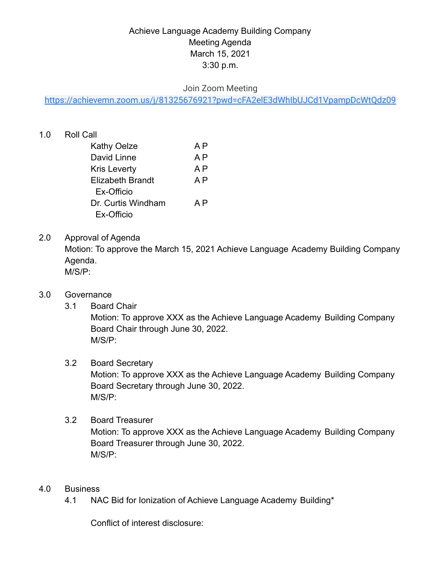# Achieve Language Academy Building Company Meeting Agenda March 15, 2021 3:30 p.m.

# Join Zoom Meeting

<https://achievemn.zoom.us/j/81325676921?pwd=cFA2elE3dWhIbUJCd1VpampDcWtQdz09>

# 1.0 Roll Call

| Kathy Oelze        | A P |
|--------------------|-----|
| David Linne        | A P |
| Kris Leverty       | A P |
| Elizabeth Brandt   | A P |
| Ex-Officio         |     |
| Dr. Curtis Windham | A P |
| Ex-Officio         |     |

# 2.0 Approval of Agenda

Motion: To approve the March 15, 2021 Achieve Language Academy Building Company Agenda.

M/S/P:

#### 3.0 Governance

3.1 Board Chair

Motion: To approve XXX as the Achieve Language Academy Building Company Board Chair through June 30, 2022. M/S/P:

#### 3.2 Board Secretary

Motion: To approve XXX as the Achieve Language Academy Building Company Board Secretary through June 30, 2022. M/S/P:

# 3.2 Board Treasurer

Motion: To approve XXX as the Achieve Language Academy Building Company Board Treasurer through June 30, 2022. M/S/P:

#### 4.0 Business

4.1 NAC Bid for Ionization of Achieve Language Academy Building\*

Conflict of interest disclosure: